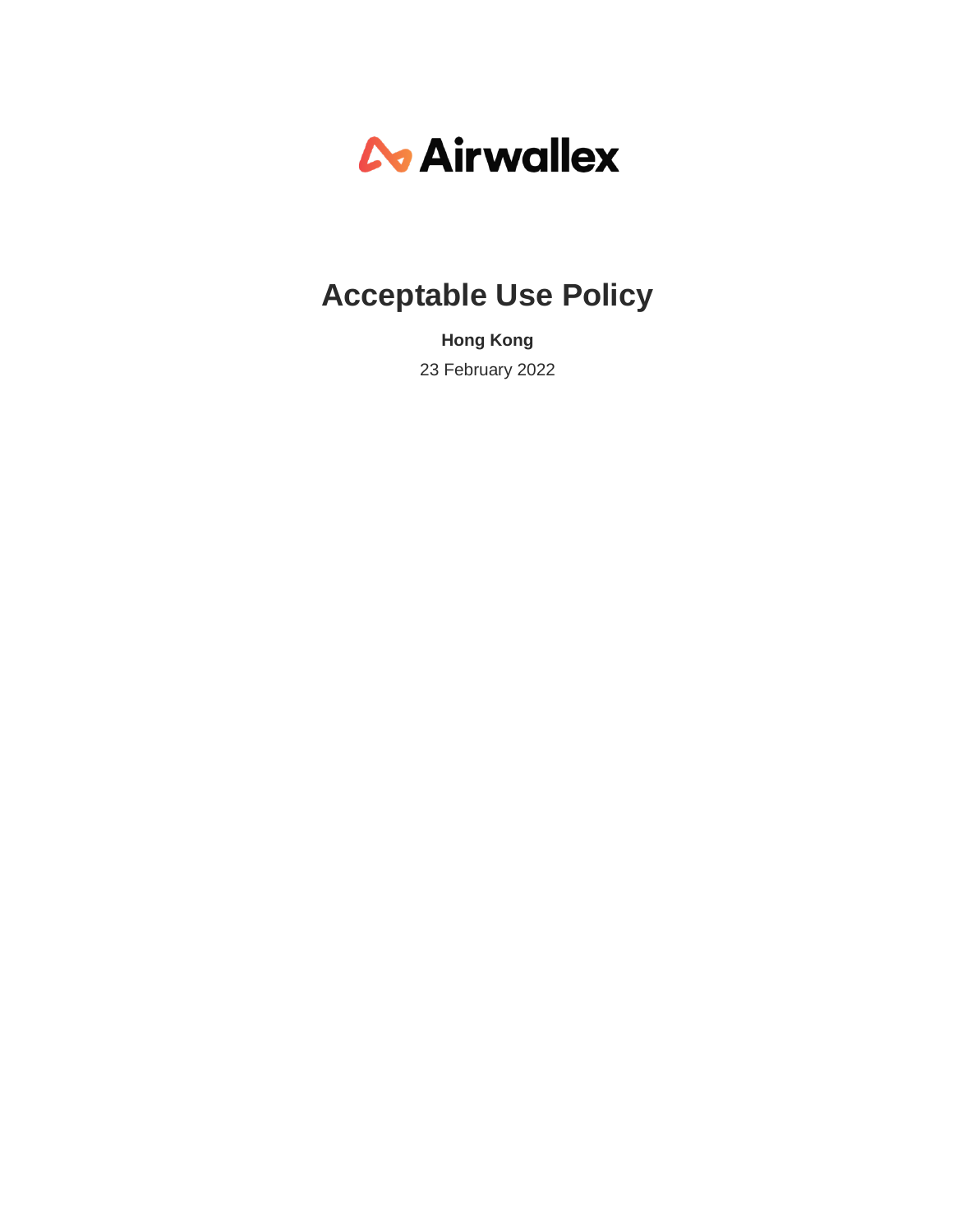# *C* Airwallex

# **Acceptable Use Policy**

**Hong Kong** 23 February 2022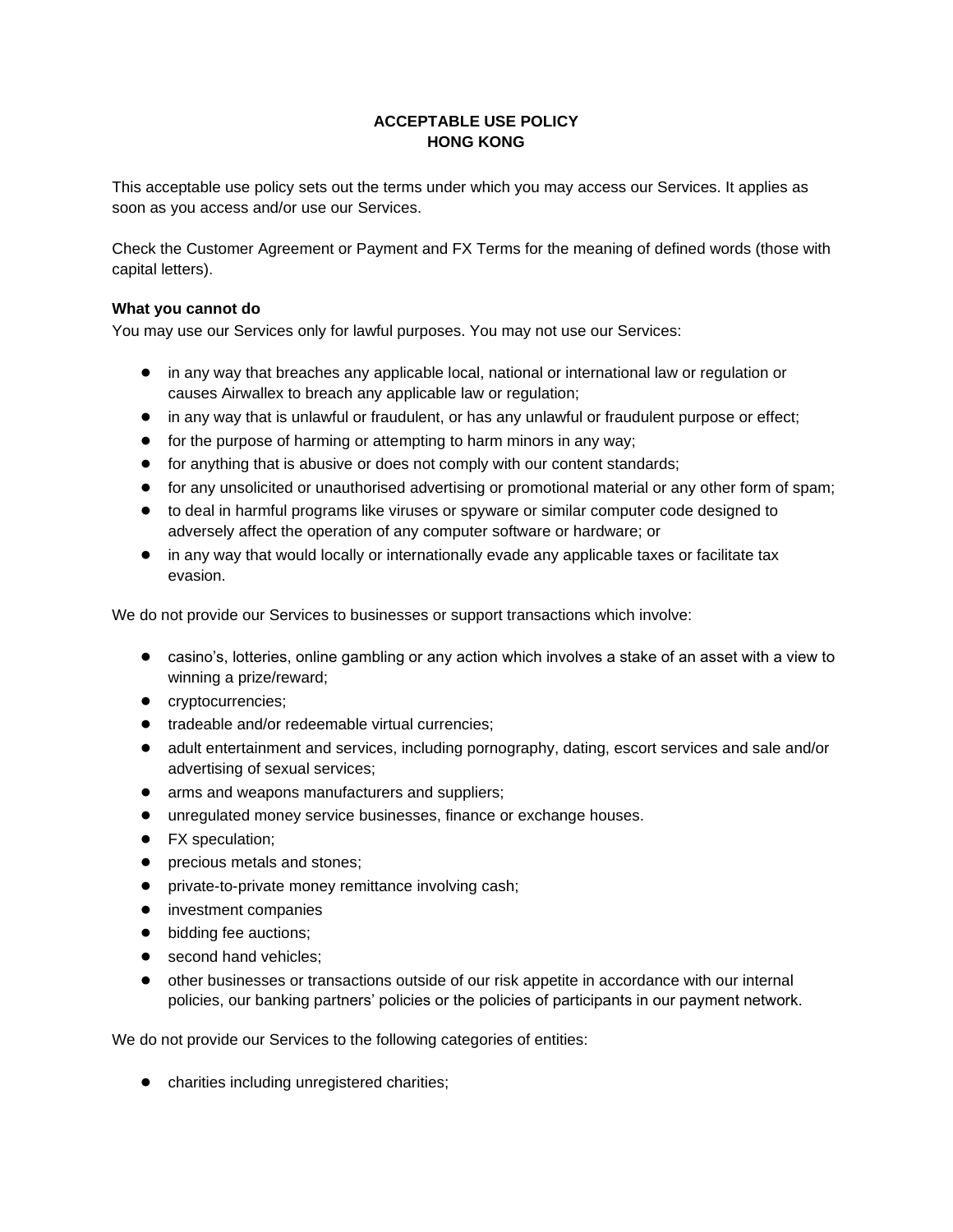# **ACCEPTABLE USE POLICY HONG KONG**

This acceptable use policy sets out the terms under which you may access our Services. It applies as soon as you access and/or use our Services.

Check the Customer Agreement or Payment and FX Terms for the meaning of defined words (those with capital letters).

## **What you cannot do**

You may use our Services only for lawful purposes. You may not use our Services:

- in any way that breaches any applicable local, national or international law or regulation or causes Airwallex to breach any applicable law or regulation;
- in any way that is unlawful or fraudulent, or has any unlawful or fraudulent purpose or effect;
- for the purpose of harming or attempting to harm minors in any way;
- for anything that is abusive or does not comply with our content standards;
- for any unsolicited or unauthorised advertising or promotional material or any other form of spam;
- to deal in harmful programs like viruses or spyware or similar computer code designed to adversely affect the operation of any computer software or hardware; or
- in any way that would locally or internationally evade any applicable taxes or facilitate tax evasion.

We do not provide our Services to businesses or support transactions which involve:

- casino's, lotteries, online gambling or any action which involves a stake of an asset with a view to winning a prize/reward;
- cryptocurrencies;
- tradeable and/or redeemable virtual currencies;
- adult entertainment and services, including pornography, dating, escort services and sale and/or advertising of sexual services;
- arms and weapons manufacturers and suppliers;
- unregulated money service businesses, finance or exchange houses.
- FX speculation;
- precious metals and stones;
- private-to-private money remittance involving cash;
- investment companies
- bidding fee auctions;
- second hand vehicles:
- other businesses or transactions outside of our risk appetite in accordance with our internal policies, our banking partners' policies or the policies of participants in our payment network.

We do not provide our Services to the following categories of entities:

● charities including unregistered charities;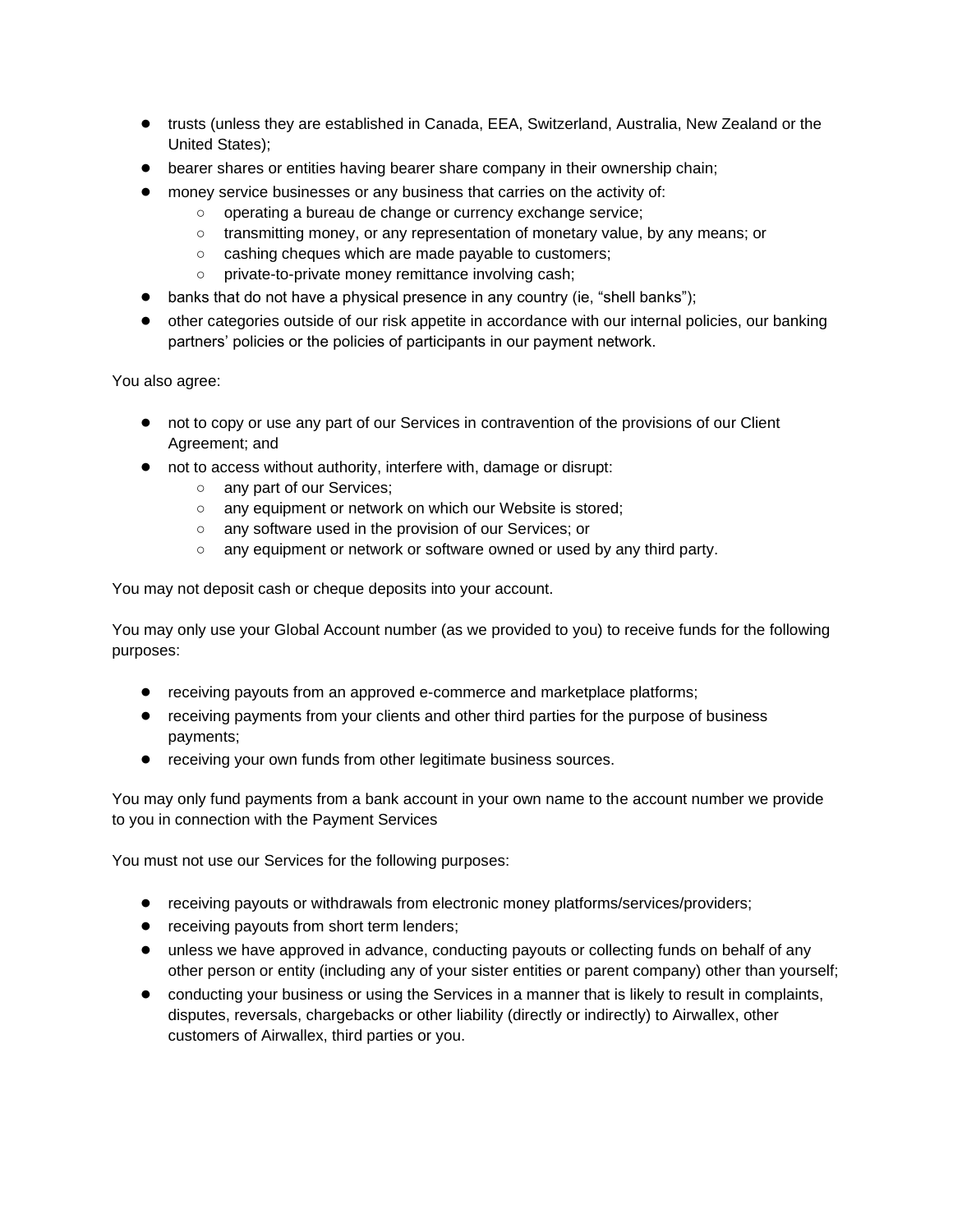- trusts (unless they are established in Canada, EEA, Switzerland, Australia, New Zealand or the United States);
- bearer shares or entities having bearer share company in their ownership chain;
- money service businesses or any business that carries on the activity of:
	- operating a bureau de change or currency exchange service;
	- transmitting money, or any representation of monetary value, by any means; or
	- cashing cheques which are made payable to customers;
	- private-to-private money remittance involving cash;
- banks that do not have a physical presence in any country (ie, "shell banks");
- other categories outside of our risk appetite in accordance with our internal policies, our banking partners' policies or the policies of participants in our payment network.

You also agree:

- not to copy or use any part of our Services in contravention of the provisions of our Client Agreement; and
- not to access without authority, interfere with, damage or disrupt:
	- o any part of our Services;
	- any equipment or network on which our Website is stored;
	- any software used in the provision of our Services; or
	- any equipment or network or software owned or used by any third party.

You may not deposit cash or cheque deposits into your account.

You may only use your Global Account number (as we provided to you) to receive funds for the following purposes:

- receiving payouts from an approved e-commerce and marketplace platforms;
- receiving payments from your clients and other third parties for the purpose of business payments;
- receiving your own funds from other legitimate business sources.

You may only fund payments from a bank account in your own name to the account number we provide to you in connection with the Payment Services

You must not use our Services for the following purposes:

- receiving payouts or withdrawals from electronic money platforms/services/providers;
- receiving payouts from short term lenders;
- unless we have approved in advance, conducting payouts or collecting funds on behalf of any other person or entity (including any of your sister entities or parent company) other than yourself;
- conducting your business or using the Services in a manner that is likely to result in complaints, disputes, reversals, chargebacks or other liability (directly or indirectly) to Airwallex, other customers of Airwallex, third parties or you.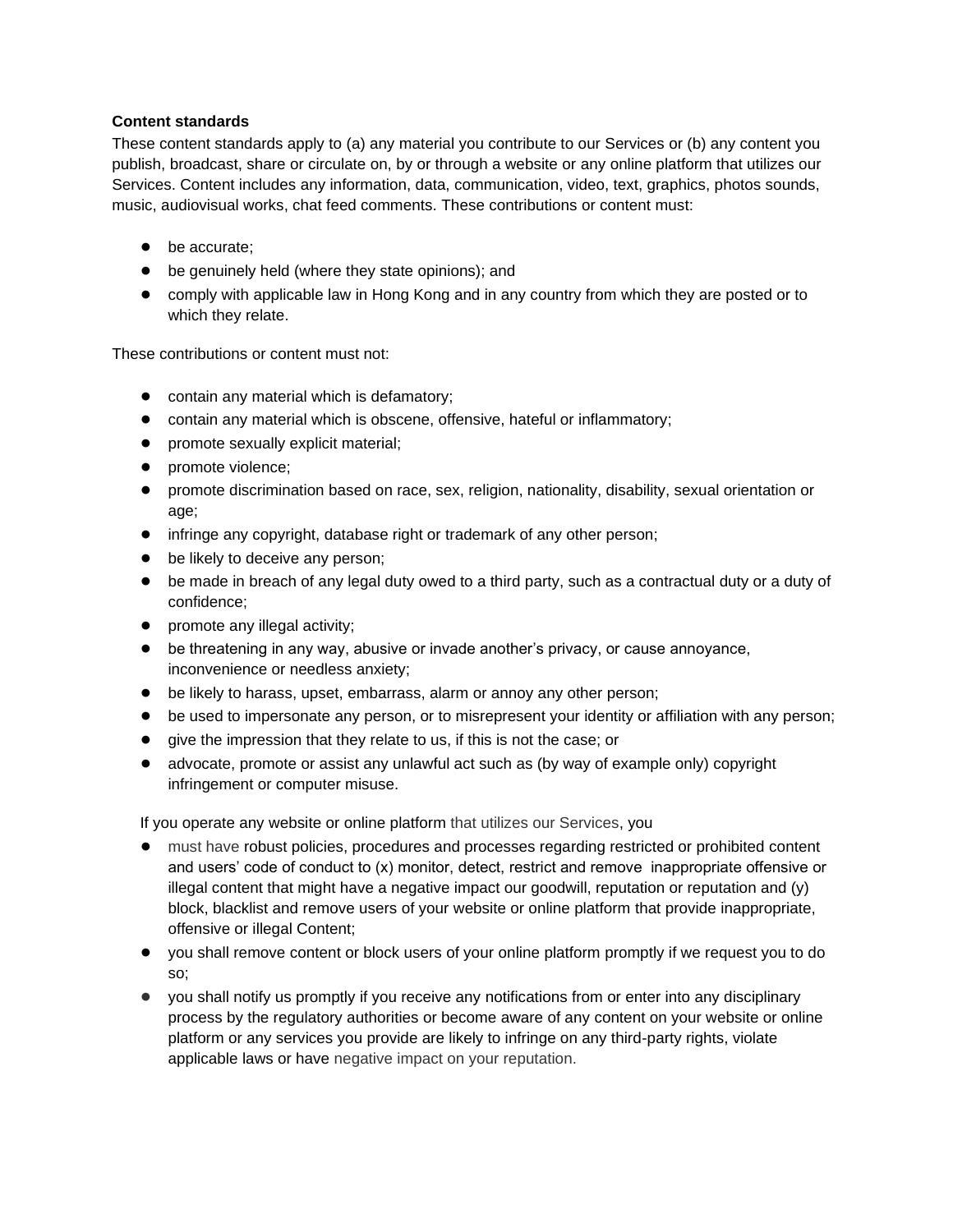## **Content standards**

These content standards apply to (a) any material you contribute to our Services or (b) any content you publish, broadcast, share or circulate on, by or through a website or any online platform that utilizes our Services. Content includes any information, data, communication, video, text, graphics, photos sounds, music, audiovisual works, chat feed comments. These contributions or content must:

- be accurate:
- be genuinely held (where they state opinions); and
- comply with applicable law in Hong Kong and in any country from which they are posted or to which they relate.

These contributions or content must not:

- contain any material which is defamatory;
- contain any material which is obscene, offensive, hateful or inflammatory;
- promote sexually explicit material;
- promote violence;
- promote discrimination based on race, sex, religion, nationality, disability, sexual orientation or age;
- infringe any copyright, database right or trademark of any other person;
- be likely to deceive any person;
- be made in breach of any legal duty owed to a third party, such as a contractual duty or a duty of confidence;
- promote any illegal activity;
- be threatening in any way, abusive or invade another's privacy, or cause annoyance, inconvenience or needless anxiety;
- be likely to harass, upset, embarrass, alarm or annoy any other person;
- be used to impersonate any person, or to misrepresent your identity or affiliation with any person;
- give the impression that they relate to us, if this is not the case; or
- advocate, promote or assist any unlawful act such as (by way of example only) copyright infringement or computer misuse.

If you operate any website or online platform that utilizes our Services, you

- must have robust policies, procedures and processes regarding restricted or prohibited content and users' code of conduct to (x) monitor, detect, restrict and remove inappropriate offensive or illegal content that might have a negative impact our goodwill, reputation or reputation and (y) block, blacklist and remove users of your website or online platform that provide inappropriate, offensive or illegal Content;
- you shall remove content or block users of your online platform promptly if we request you to do so;
- you shall notify us promptly if you receive any notifications from or enter into any disciplinary process by the regulatory authorities or become aware of any content on your website or online platform or any services you provide are likely to infringe on any third-party rights, violate applicable laws or have negative impact on your reputation.